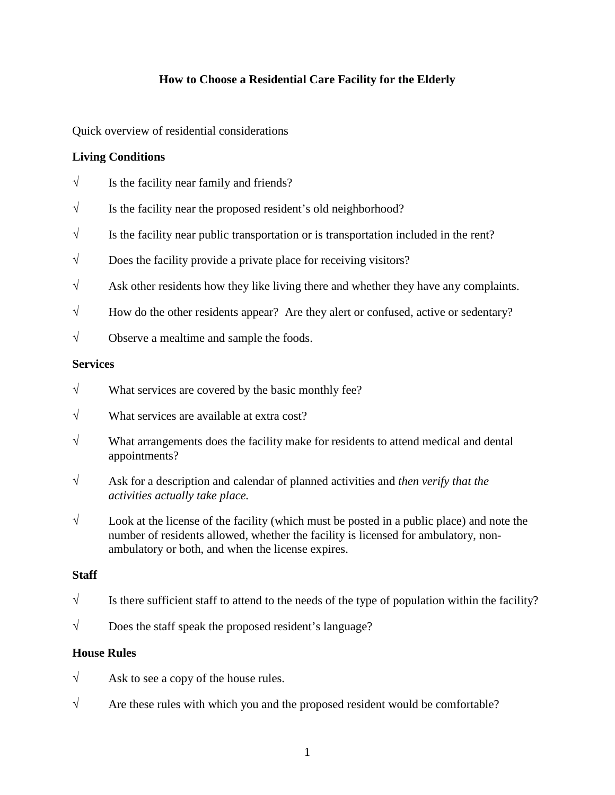## **How to Choose a Residential Care Facility for the Elderly**

Quick overview of residential considerations

### **Living Conditions**

- $\sqrt{\ }$  Is the facility near family and friends?
- $\sqrt{\ }$  Is the facility near the proposed resident's old neighborhood?
- $\sqrt{\ }$  Is the facility near public transportation or is transportation included in the rent?
- $\sqrt{\phantom{a}}$  Does the facility provide a private place for receiving visitors?
- $\sqrt{\phantom{a}}$  Ask other residents how they like living there and whether they have any complaints.
- $\sqrt{\phantom{a}}$  How do the other residents appear? Are they alert or confused, active or sedentary?
- $\sqrt{\phantom{a}}$  Observe a mealtime and sample the foods.

#### **Services**

- $\sqrt{\phantom{a}}$  What services are covered by the basic monthly fee?
- $\sqrt{ }$  What services are available at extra cost?
- $\sqrt{\phantom{a}}$  What arrangements does the facility make for residents to attend medical and dental appointments?
- √ Ask for a description and calendar of planned activities and *then verify that the activities actually take place.*
- $\sqrt{\phantom{a}}$  Look at the license of the facility (which must be posted in a public place) and note the number of residents allowed, whether the facility is licensed for ambulatory, nonambulatory or both, and when the license expires.

#### **Staff**

- $\sqrt{\ }$  Is there sufficient staff to attend to the needs of the type of population within the facility?
- $\sqrt{\phantom{a}}$  Does the staff speak the proposed resident's language?

#### **House Rules**

- $\sqrt{\phantom{a}}$  Ask to see a copy of the house rules.
- $\sqrt{\ }$  Are these rules with which you and the proposed resident would be comfortable?